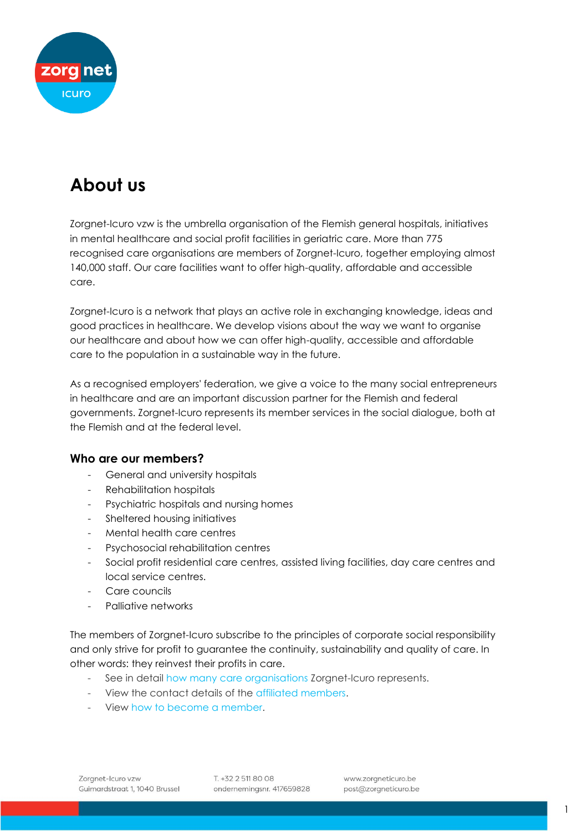

# **About us**

Zorgnet-Icuro vzw is the umbrella organisation of the Flemish general hospitals, initiatives in mental healthcare and social profit facilities in geriatric care. More than 775 recognised care organisations are members of Zorgnet-Icuro, together employing almost 140,000 staff. Our care facilities want to offer high-quality, affordable and accessible care.

Zorgnet-Icuro is a network that plays an active role in exchanging knowledge, ideas and good practices in healthcare. We develop visions about the way we want to organise our healthcare and about how we can offer high-quality, accessible and affordable care to the population in a sustainable way in the future.

As a recognised employers' federation, we give a voice to the many social entrepreneurs in healthcare and are an important discussion partner for the Flemish and federal governments. Zorgnet-Icuro represents its member services in the social dialogue, both at the Flemish and at the federal level.

## **Who are our members?**

- General and university hospitals
- Rehabilitation hospitals
- **Psychiatric hospitals and nursing homes**
- Sheltered housing initiatives
- Mental health care centres
- Psychosocial rehabilitation centres
- Social profit residential care centres, assisted living facilities, day care centres and local service centres.
- Care councils
- Palliative networks

The members of Zorgnet-Icuro subscribe to the principles of corporate social responsibility and only strive for profit to guarantee the continuity, sustainability and quality of care. In other words: they reinvest their profits in care.

- See in detail [how many care organisations](https://zni.coworks.be/bestuur/aangesloten-leden-bij-zorgnet-icuro) Zorgnet-Icuro represents.
- View the contact details of the [affiliated members.](https://zni.coworks.be/leden)
- View [how to become a member.](https://zni.coworks.be/lid-worden)